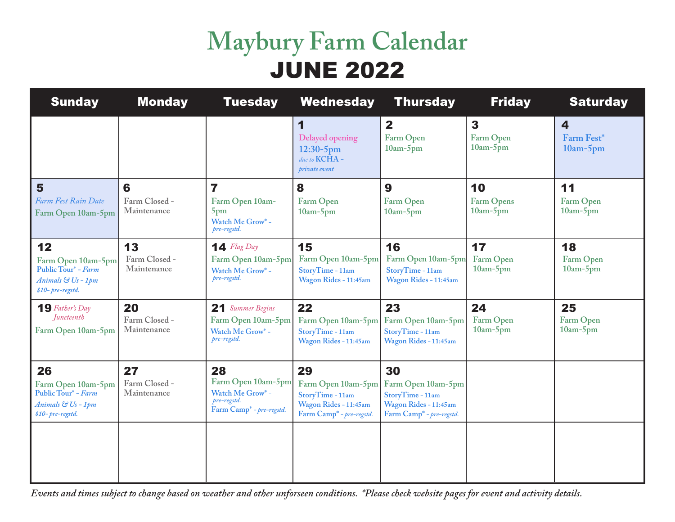# **Maybury Farm Calendar** JUNE 2022

| <b>Sunday</b>                                                                             | <b>Monday</b>                      | <b>Tuesday</b>                                                                                      | Wednesday                                                                                                     | <b>Thursday</b>                                                                                               | <b>Friday</b>                           | <b>Saturday</b>                                |
|-------------------------------------------------------------------------------------------|------------------------------------|-----------------------------------------------------------------------------------------------------|---------------------------------------------------------------------------------------------------------------|---------------------------------------------------------------------------------------------------------------|-----------------------------------------|------------------------------------------------|
|                                                                                           |                                    |                                                                                                     | 1<br>Delayed opening<br>$12:30-5$ pm<br>due to KCHA -<br>private event                                        | $\mathbf{2}$<br>Farm Open<br>$10am-5pm$                                                                       | $\mathbf{3}$<br>Farm Open<br>$10am-5pm$ | $\overline{\bf 4}$<br>Farm Fest*<br>$10am-5pm$ |
| 5<br>Farm Fest Rain Date<br>Farm Open 10am-5pm                                            | 6<br>Farm Closed -<br>Maintenance  | 7<br>Farm Open 10am-<br>5 <sub>pm</sub><br>Watch Me Grow* -<br>pre-regstd.                          | 8<br>Farm Open<br>$10am-5pm$                                                                                  | 9<br>Farm Open<br>$10am-5pm$                                                                                  | 10<br><b>Farm Opens</b><br>$10am-5pm$   | 11<br>Farm Open<br>$10am-5pm$                  |
| 12<br>Farm Open 10am-5pm<br>Public Tour* - Farm<br>Animals & Us - 1pm<br>\$10-pre-regstd. | 13<br>Farm Closed -<br>Maintenance | $\mathbf{14}$ Flag Day<br>Farm Open 10am-5pm<br>Watch Me Grow* -<br>pre-regstd.                     | 15<br>Farm Open 10am-5pm<br>StoryTime - 11am<br>Wagon Rides - 11:45am                                         | 16<br>Farm Open 10am-5pm<br>StoryTime - 11am<br>Wagon Rides - 11:45am                                         | 17<br>Farm Open<br>$10am-5pm$           | 18<br>Farm Open<br>$10am-5pm$                  |
| $19$ Father's Day<br><i><u><b>Iuneteenth</b></u></i><br>Farm Open 10am-5pm                | 20<br>Farm Closed -<br>Maintenance | 21 Summer Begins<br>Farm Open 10am-5pm<br>Watch Me Grow* -<br>pre-regstd.                           | 22<br>Farm Open 10am-5pm<br>StoryTime - 11am<br>Wagon Rides - 11:45am                                         | 23<br>Farm Open 10am-5pm<br>StoryTime - 11am<br>Wagon Rides - 11:45am                                         | 24<br>Farm Open<br>$10am-5pm$           | 25<br>Farm Open<br>$10am-5pm$                  |
| 26<br>Farm Open 10am-5pm<br>Public Tour* - Farm<br>Animals & Us - 1pm<br>\$10-pre-regstd. | 27<br>Farm Closed -<br>Maintenance | 28<br>Farm Open 10am-5pm<br>Watch Me Grow* -<br>pre-regstd.<br>Farm Camp <sup>*</sup> - pre-regstd. | 29<br>Farm Open 10am-5pm<br>StoryTime - 11am<br>Wagon Rides - 11:45am<br>Farm Camp <sup>*</sup> - pre-regstd. | 30<br>Farm Open 10am-5pm<br>StoryTime - 11am<br>Wagon Rides - 11:45am<br>Farm Camp <sup>*</sup> - pre-regstd. |                                         |                                                |
|                                                                                           |                                    |                                                                                                     |                                                                                                               |                                                                                                               |                                         |                                                |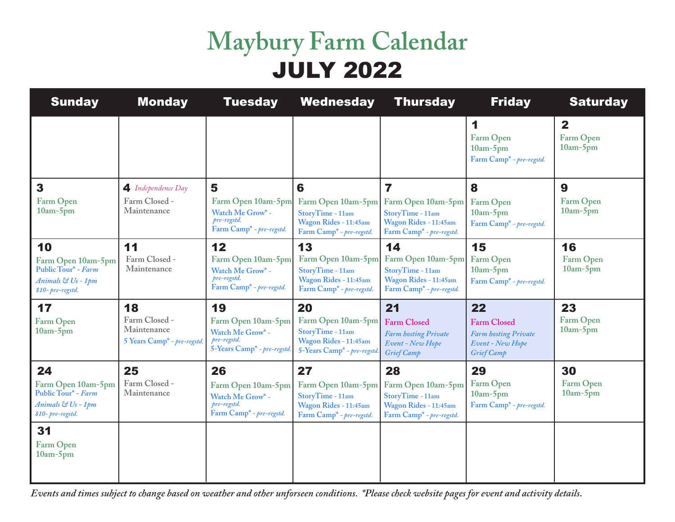# **Maybury Farm Calendar** JULY 2022

| <b>Sunday</b>                                                                             | <b>Monday</b>                                                     | <b>Tuesday</b>                                                                                      | <b>Wednesday</b>                                                                                                | <b>Thursday</b>                                                                                                                    | <b>Friday</b>                                                                                    | <b>Saturday</b>                             |
|-------------------------------------------------------------------------------------------|-------------------------------------------------------------------|-----------------------------------------------------------------------------------------------------|-----------------------------------------------------------------------------------------------------------------|------------------------------------------------------------------------------------------------------------------------------------|--------------------------------------------------------------------------------------------------|---------------------------------------------|
|                                                                                           |                                                                   |                                                                                                     |                                                                                                                 |                                                                                                                                    | 1<br>Farm Open<br>$10am-5pm$<br>Farm Camp <sup>*</sup> - pre-regstd.                             | $\mathbf{2}$<br>Farm Open<br>$10am-5pm$     |
| 3<br>Farm Open<br>$10am-5pm$                                                              | 4 Independence Day<br>Farm Closed -<br>Maintenance                | 5<br>Farm Open 10am-5pm<br>Watch Me Grow* -<br>pre-regstd.<br>Farm Camp <sup>*</sup> - pre-regstd.  | 6<br>Farm Open 10am-5pm<br>StoryTime - 11am<br>Wagon Rides - 11:45am<br>Farm Camp <sup>*</sup> - pre-regstd.    | $\overline{\mathbf{z}}$<br>Farm Open 10am-5pm<br>StoryTime - 11am<br>Wagon Rides - 11:45am<br>Farm Camp <sup>*</sup> - pre-regstd. | 8<br>Farm Open<br>$10am-5pm$<br>Farm Camp <sup>*</sup> - pre-regstd.                             | $\boldsymbol{9}$<br>Farm Open<br>$10am-5pm$ |
| 10<br>Farm Open 10am-5pm<br>Public Tour* - Farm<br>Animals & Us - 1pm<br>\$10-pre-regstd. | 11<br>Farm Closed -<br>Maintenance                                | 12<br>Farm Open 10am-5pm<br>Watch Me Grow* -<br>pre-regstd.<br>Farm Camp <sup>*</sup> - pre-regstd. | 13<br>Farm Open 10am-5pm<br>StoryTime - 11am<br>Wagon Rides - 11:45am<br>Farm Camp <sup>*</sup> - pre-regstd.   | 14<br>Farm Open 10am-5pm<br>StoryTime - 11am<br>Wagon Rides - 11:45am<br>Farm Camp <sup>*</sup> - pre-regstd.                      | 15<br>Farm Open<br>$10am-5pm$<br>Farm Camp <sup>*</sup> - pre-regstd.                            | 16<br>Farm Open<br>$10am-5pm$               |
| 17<br>Farm Open<br>$10am-5pm$                                                             | 18<br>Farm Closed -<br>Maintenance<br>5 Years Camp* - pre-regstd. | 19<br>Farm Open 10am-5pm<br>Watch Me Grow* -<br>pre-regstd.<br>5-Years Camp* - pre-regstd.          | 20<br>Farm Open 10am-5pm<br>StoryTime - 11am<br>Wagon Rides - 11:45am<br>5-Years Camp <sup>*</sup> - pre-regstd | 21<br><b>Farm Closed</b><br><b>Farm hosting Private</b><br>Event - New Hope<br>Grief Camp                                          | 22<br><b>Farm Closed</b><br><b>Farm hosting Private</b><br>Event - New Hope<br><b>Grief Camp</b> | 23<br>Farm Open<br>$10am-5pm$               |
| 24<br>Farm Open 10am-5pm<br>Public Tour* - Farm<br>Animals & Us - 1pm<br>\$10-pre-regstd. | 25<br>Farm Closed -<br>Maintenance                                | 26<br>Farm Open 10am-5pm<br>Watch Me Grow* -<br>pre-regstd.<br>Farm Camp <sup>*</sup> - pre-regstd. | 27<br>Farm Open 10am-5pm<br>StoryTime - 11am<br>Wagon Rides - 11:45am<br>Farm Camp* - pre-regstd.               | 28<br>Farm Open 10am-5pm<br>StoryTime - 11am<br>Wagon Rides - 11:45am<br>Farm Camp* - pre-regstd.                                  | 29<br>Farm Open<br>$10am-5pm$<br>Farm Camp* - pre-regstd.                                        | 30<br>Farm Open<br>$10am-5pm$               |
| 31<br>Farm Open<br>$10am-5pm$                                                             |                                                                   |                                                                                                     |                                                                                                                 |                                                                                                                                    |                                                                                                  |                                             |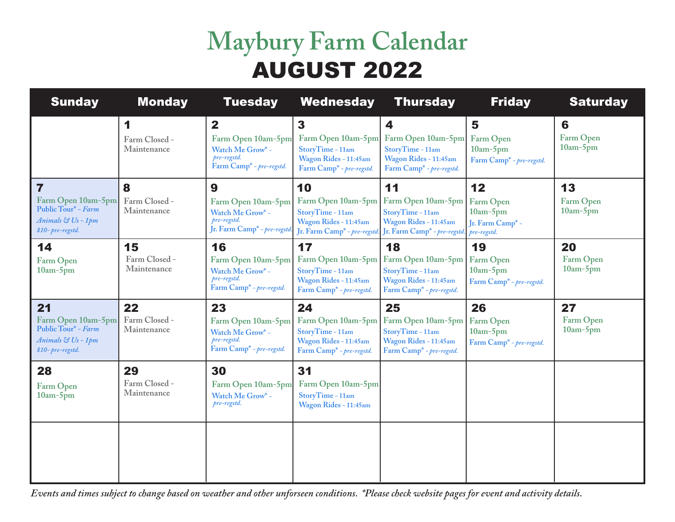# **Maybury Farm Calendar** AUGUST 2022

| <b>Sunday</b>                                                                             | <b>Monday</b>                      | <b>Tuesday</b>                                                                                         | <b>Wednesday</b>                                                                                                 | <b>Thursday</b>                                                                                                             | <b>Friday</b>                                                                | <b>Saturday</b>                     |
|-------------------------------------------------------------------------------------------|------------------------------------|--------------------------------------------------------------------------------------------------------|------------------------------------------------------------------------------------------------------------------|-----------------------------------------------------------------------------------------------------------------------------|------------------------------------------------------------------------------|-------------------------------------|
|                                                                                           | 1<br>Farm Closed -<br>Maintenance  | $\mathbf{2}$<br>Farm Open 10am-5pm<br>Watch Me Grow* -<br>pre-regstd.<br>Farm Camp* - pre-regstd.      | $\mathbf{3}$<br>Farm Open 10am-5pm<br>StoryTime - 11am<br>Wagon Rides - 11:45am<br>Farm Camp* - pre-regstd.      | $\boldsymbol{4}$<br>Farm Open 10am-5pm<br>StoryTime - 11am<br>Wagon Rides - 11:45am<br>Farm Camp <sup>*</sup> - pre-regstd. | 5<br>Farm Open<br>$10am-5pm$<br>Farm Camp <sup>*</sup> - pre-regstd.         | 6<br><b>Farm Open</b><br>$10am-5pm$ |
| 7<br>Farm Open 10am-5pm<br>Public Tour* - Farm<br>Animals & Us - 1pm<br>\$10-pre-regstd.  | 8<br>Farm Closed -<br>Maintenance  | 9<br>Farm Open 10am-5pm<br>Watch Me Grow* -<br>pre-regstd.<br>Jr. Farm Camp <sup>*</sup> - pre-regstd. | 10<br>Farm Open 10am-5pm<br>StoryTime - 11am<br>Wagon Rides - 11:45am<br>Jr. Farm Camp <sup>*</sup> - pre-regstd | 11<br>Farm Open 10am-5pm<br>StoryTime - 11am<br>Wagon Rides - 11:45am<br>Jr. Farm Camp <sup>*</sup> - pre-regstd.           | 12<br>Farm Open<br>$10am-5pm$<br>Jr. Farm Camp* -<br>pre-regstd.             | 13<br>Farm Open<br>$10am-5pm$       |
| 14<br>Farm Open<br>$10am-5pm$                                                             | 15<br>Farm Closed -<br>Maintenance | 16<br>Farm Open 10am-5pm<br>Watch Me Grow* -<br>pre-regstd.<br>Farm Camp <sup>*</sup> - pre-regstd.    | 17<br>Farm Open 10am-5pm<br>StoryTime - 11am<br>Wagon Rides - 11:45am<br>Farm Camp* - pre-regstd.                | 18<br>Farm Open 10am-5pm<br>StoryTime - 11am<br>Wagon Rides - 11:45am<br>Farm Camp* - pre-regstd.                           | 19<br><b>Farm Open</b><br>$10am-5pm$<br>Farm Camp <sup>*</sup> - pre-regstd. | 20<br>Farm Open<br>$10am-5pm$       |
| 21<br>Farm Open 10am-5pm<br>Public Tour* - Farm<br>Animals & Us - 1pm<br>\$10-pre-regstd. | 22<br>Farm Closed -<br>Maintenance | 23<br>Farm Open 10am-5pm<br>Watch Me Grow* -<br>pre-regstd.<br>Farm Camp <sup>*</sup> - pre-regstd.    | 24<br>Farm Open 10am-5pm<br>StoryTime - 11am<br>Wagon Rides - 11:45am<br>Farm Camp <sup>*</sup> - pre-regstd.    | 25<br>Farm Open 10am-5pm<br>StoryTime - 11am<br>Wagon Rides - 11:45am<br>Farm Camp <sup>*</sup> - pre-regstd.               | 26<br>Farm Open<br>$10am-5pm$<br>Farm Camp* - pre-regstd.                    | 27<br>Farm Open<br>$10am-5pm$       |
| 28<br>Farm Open<br>$10am-5pm$                                                             | 29<br>Farm Closed -<br>Maintenance | 30<br>Farm Open 10am-5pm<br>Watch Me Grow* -<br>pre-regstd.                                            | 31<br>Farm Open 10am-5pm<br>StoryTime - 11am<br>Wagon Rides - 11:45am                                            |                                                                                                                             |                                                                              |                                     |
|                                                                                           |                                    |                                                                                                        |                                                                                                                  |                                                                                                                             |                                                                              |                                     |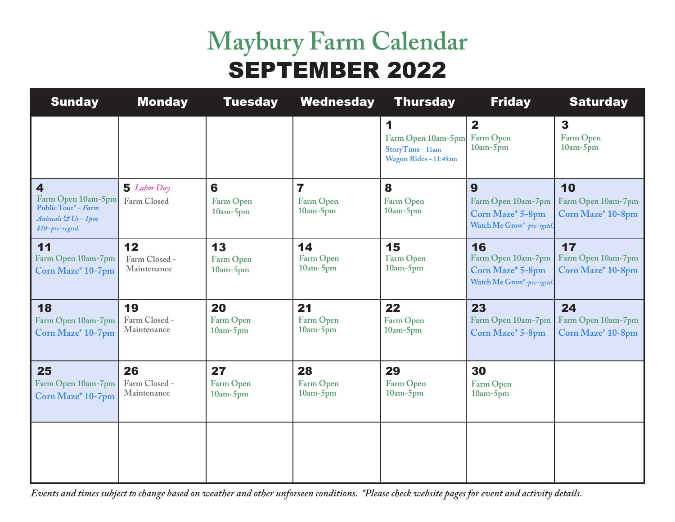# **Maybury Farm Calendar** SEPTEMBER 2022

| <b>Sunday</b>                                                                                                  | <b>Monday</b>                      | <b>Tuesday</b>                | <b>Wednesday</b>                                   | <b>Thursday</b>                                                      | <b>Friday</b>                                                             | <b>Saturday</b>                               |
|----------------------------------------------------------------------------------------------------------------|------------------------------------|-------------------------------|----------------------------------------------------|----------------------------------------------------------------------|---------------------------------------------------------------------------|-----------------------------------------------|
|                                                                                                                |                                    |                               |                                                    | 1<br>Farm Open 10am-5pm<br>StoryTime - 11am<br>Wagon Rides - 11:45am | $\mathbf{2}$<br>Farm Open<br>$10am-5pm$                                   | $\mathbf{3}$<br>Farm Open<br>$10am-5pm$       |
| $\overline{\mathbf{4}}$<br>Farm Open 10am-5pm<br>Public Tour* - Farm<br>Animals & Us - 1pm<br>\$10-pre-regstd. | <b>5</b> Labor Day<br>Farm Closed  | 6<br>Farm Open<br>$10am-5pm$  | $\overline{\mathbf{z}}$<br>Farm Open<br>$10am-5pm$ | 8<br>Farm Open<br>$10am-5pm$                                         | 9<br>Farm Open 10am-7pm<br>Corn Maze* 5-8pm<br>Watch Me Grow*-pre-rgstd.  | 10<br>Farm Open 10am-7pm<br>Corn Maze* 10-8pm |
| 11<br>Farm Open 10am-7pm<br>Corn Maze* 10-7pm                                                                  | 12<br>Farm Closed -<br>Maintenance | 13<br>Farm Open<br>$10am-5pm$ | 14<br>Farm Open<br>$10am-5pm$                      | 15<br>Farm Open<br>$10am-5pm$                                        | 16<br>Farm Open 10am-7pm<br>Corn Maze* 5-8pm<br>Watch Me Grow*-pre-rgstd. | 17<br>Farm Open 10am-7pm<br>Corn Maze* 10-8pm |
| 18<br>Farm Open 10am-7pm<br>Corn Maze* 10-7pm                                                                  | 19<br>Farm Closed -<br>Maintenance | 20<br>Farm Open<br>$10am-5pm$ | 21<br>Farm Open<br>$10am-5pm$                      | 22<br>Farm Open<br>$10am-5pm$                                        | 23<br>Farm Open 10am-7pm<br>Corn Maze* 5-8pm                              | 24<br>Farm Open 10am-7pm<br>Corn Maze* 10-8pm |
| 25<br>Farm Open 10am-7pm<br>Corn Maze* 10-7pm                                                                  | 26<br>Farm Closed -<br>Maintenance | 27<br>Farm Open<br>$10am-5pm$ | 28<br>Farm Open<br>$10am-5pm$                      | 29<br>Farm Open<br>$10am-5pm$                                        | 30<br>Farm Open<br>$10am-5pm$                                             |                                               |
|                                                                                                                |                                    |                               |                                                    |                                                                      |                                                                           |                                               |